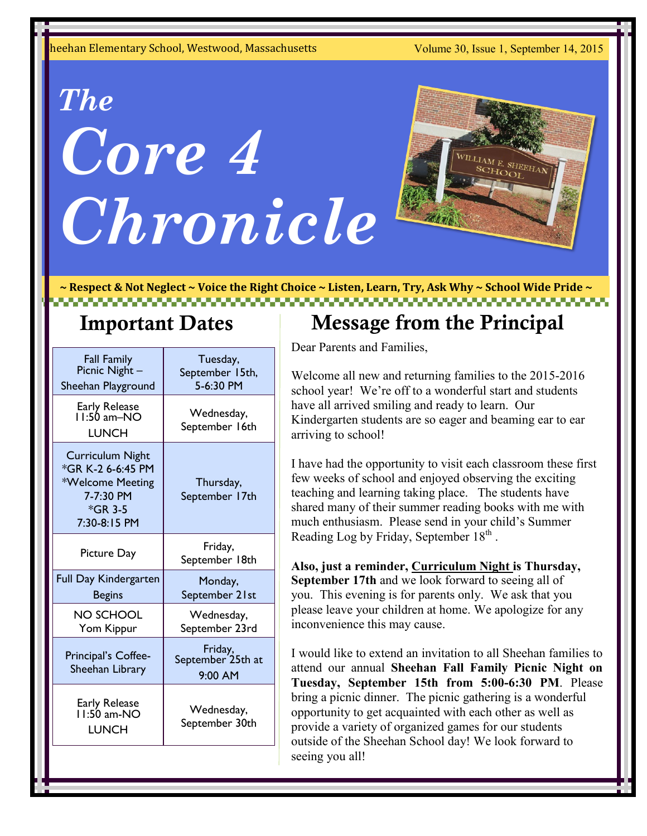heehan Elementary School, Westwood, Massachusetts Volume 30, Issue 1, September 14, 2015

# **Volume 1, Issue 1 Newsletter Date** *Chronicle The Core 4*



**~ Respect & Not Neglect ~ Voice the Right Choice ~ Listen, Learn, Try, Ask Why ~ School Wide Pride ~** 

| <b>Fall Family</b>                                                                                       | Tuesday,                                           |
|----------------------------------------------------------------------------------------------------------|----------------------------------------------------|
| Picnic Night -                                                                                           | September 15th,                                    |
| Sheehan Playground                                                                                       | 5-6:30 PM                                          |
| Early Release<br>I I:50 am–NO                                                                            | Wednesday,                                         |
| <b>LUNCH</b>                                                                                             | September 16th                                     |
| <b>Curriculum Night</b><br>*GR K-2 6-6:45 PM<br>*Welcome Meeting<br>7-7:30 PM<br>*GR 3-5<br>7:30-8:15 PM | Thursday,<br>September 17th                        |
| Picture Day                                                                                              | Friday,<br>September 18th                          |
| Full Day Kindergarten                                                                                    | Monday,                                            |
| <b>Begins</b>                                                                                            | September 21st                                     |
| <b>NO SCHOOL</b>                                                                                         | Wednesday,                                         |
| Yom Kippur                                                                                               | September 23rd                                     |
| Principal's Coffee-<br>Sheehan Library                                                                   | Friday,<br>September <sup>25th</sup> at<br>9:00 AM |
| Early Release<br>I I:50 am-NO                                                                            | Wednesday,                                         |
| <b>LUNCH</b>                                                                                             | September 30th                                     |

#### **Important Dates** Message from the Principal

Dear Parents and Families,

Welcome all new and returning families to the 2015-2016 school year! We're off to a wonderful start and students have all arrived smiling and ready to learn. Our Kindergarten students are so eager and beaming ear to ear arriving to school!

I have had the opportunity to visit each classroom these first few weeks of school and enjoyed observing the exciting teaching and learning taking place. The students have shared many of their summer reading books with me with much enthusiasm. Please send in your child's Summer Reading Log by Friday, September  $18<sup>th</sup>$ .

**Also, just a reminder, Curriculum Night is Thursday, September 17th** and we look forward to seeing all of you. This evening is for parents only. We ask that you please leave your children at home. We apologize for any inconvenience this may cause.

I would like to extend an invitation to all Sheehan families to attend our annual **Sheehan Fall Family Picnic Night on Tuesday, September 15th from 5:00-6:30 PM**. Please bring a picnic dinner. The picnic gathering is a wonderful opportunity to get acquainted with each other as well as provide a variety of organized games for our students outside of the Sheehan School day! We look forward to seeing you all!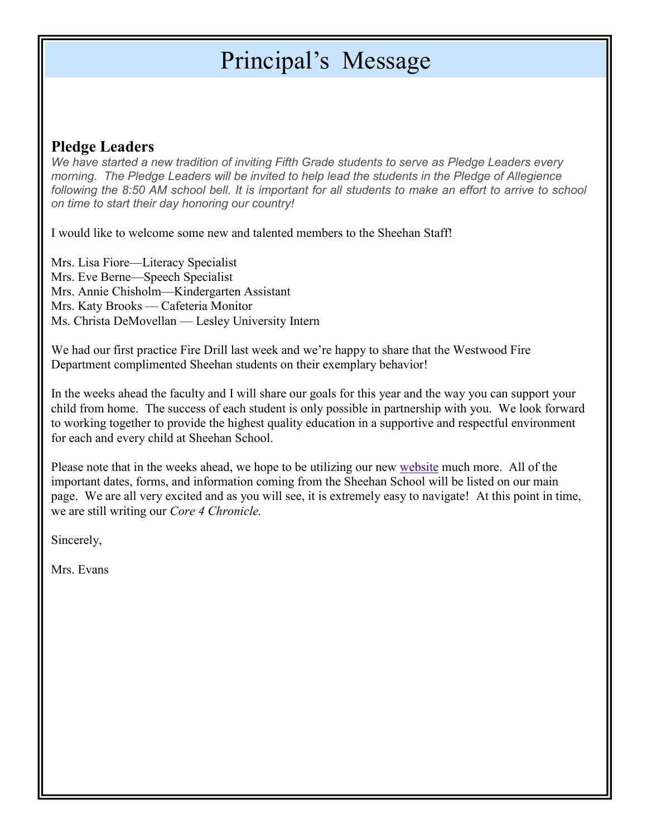### Principal's Message

#### **Pledge Leaders**

*We have started a new tradition of inviting Fifth Grade students to serve as Pledge Leaders every morning. The Pledge Leaders will be invited to help lead the students in the Pledge of Allegience following the 8:50 AM school bell. It is important for all students to make an effort to arrive to school on time to start their day honoring our country!*

I would like to welcome some new and talented members to the Sheehan Staff!

Mrs. Lisa Fiore—Literacy Specialist Mrs. Eve Berne—Speech Specialist Mrs. Annie Chisholm—Kindergarten Assistant Mrs. Katy Brooks — Cafeteria Monitor Ms. Christa DeMovellan — Lesley University Intern

We had our first practice Fire Drill last week and we're happy to share that the Westwood Fire Department complimented Sheehan students on their exemplary behavior!

In the weeks ahead the faculty and I will share our goals for this year and the way you can support your child from home. The success of each student is only possible in partnership with you. We look forward to working together to provide the highest quality education in a supportive and respectful environment for each and every child at Sheehan School.

Please note that in the weeks ahead, we hope to be utilizing our new [website](http://www.westwood.k12.ma.us/sheehan-school/) much more. All of the important dates, forms, and information coming from the Sheehan School will be listed on our main page. We are all very excited and as you will see, it is extremely easy to navigate! At this point in time, we are still writing our *Core 4 Chronicle.*

Sincerely,

Mrs. Evans